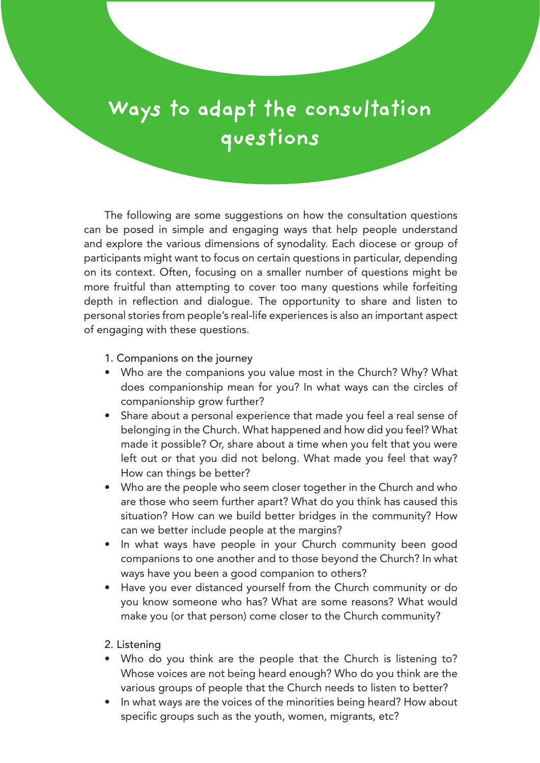## **Ways to adapt the consultation questions**

The following are some suggestions on how the consultation questions can be posed in simple and engaging ways that help people understand and explore the various dimensions of synodality. Each diocese or group of participants might want to focus on certain questions in particular, depending on its context. Often, focusing on a smaller number of questions might be more fruitful than attempting to cover too many questions while forfeiting depth in reflection and dialogue. The opportunity to share and listen to personal stories from people's real-life experiences is also an important aspect of engaging with these questions.

1. Companions on the journey

- Who are the companions you value most in the Church? Why? What does companionship mean for you? In what ways can the circles of companionship grow further?
- Share about a personal experience that made you feel a real sense of belonging in the Church. What happened and how did you feel? What made it possible? Or, share about a time when you felt that you were left out or that you did not belong. What made you feel that way? How can things be better?
- Who are the people who seem closer together in the Church and who are those who seem further apart? What do you think has caused this situation? How can we build better bridges in the community? How can we better include people at the margins?
- In what ways have people in your Church community been good companions to one another and to those beyond the Church? In what ways have you been a good companion to others?
- Have you ever distanced yourself from the Church community or do you know someone who has? What are some reasons? What would make you (or that person) come closer to the Church community?

## 2. Listening

- Who do you think are the people that the Church is listening to? Whose voices are not being heard enough? Who do you think are the various groups of people that the Church needs to listen to better?
- In what ways are the voices of the minorities being heard? How about specific groups such as the youth, women, migrants, etc?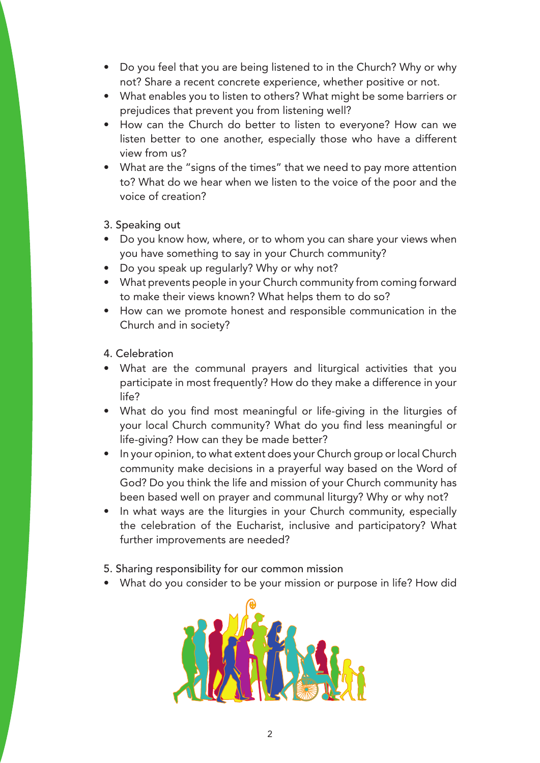- Do you feel that you are being listened to in the Church? Why or why not? Share a recent concrete experience, whether positive or not.
- What enables you to listen to others? What might be some barriers or prejudices that prevent you from listening well?
- How can the Church do better to listen to everyone? How can we listen better to one another, especially those who have a different view from us?
- What are the "signs of the times" that we need to pay more attention to? What do we hear when we listen to the voice of the poor and the voice of creation?

3. Speaking out

- Do you know how, where, or to whom you can share your views when you have something to say in your Church community?
- Do you speak up regularly? Why or why not?
- What prevents people in your Church community from coming forward to make their views known? What helps them to do so?
- How can we promote honest and responsible communication in the Church and in society?

4. Celebration

- What are the communal prayers and liturgical activities that you participate in most frequently? How do they make a difference in your life?
- What do you find most meaningful or life-giving in the liturgies of your local Church community? What do you find less meaningful or life-giving? How can they be made better?
- In your opinion, to what extent does your Church group or local Church community make decisions in a prayerful way based on the Word of God? Do you think the life and mission of your Church community has been based well on prayer and communal liturgy? Why or why not?
- In what ways are the liturgies in your Church community, especially the celebration of the Eucharist, inclusive and participatory? What further improvements are needed?
- 5. Sharing responsibility for our common mission
- What do you consider to be your mission or purpose in life? How did

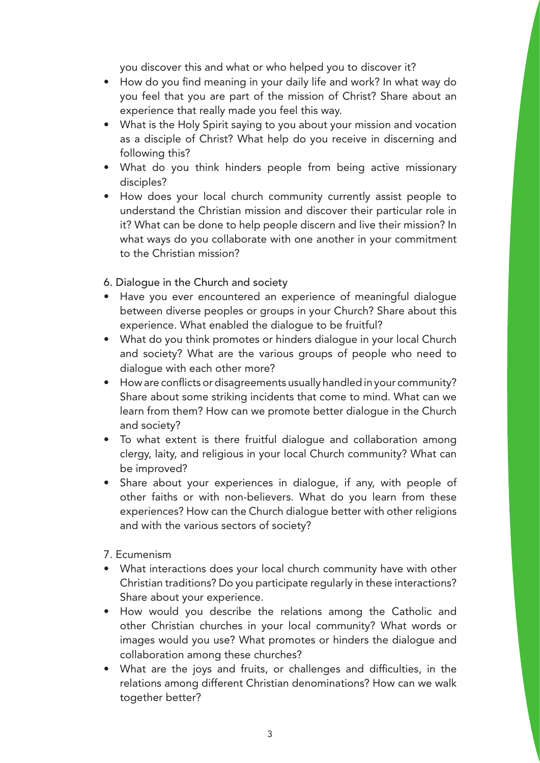you discover this and what or who helped you to discover it?

- How do you find meaning in your daily life and work? In what way do you feel that you are part of the mission of Christ? Share about an experience that really made you feel this way.
- What is the Holy Spirit saying to you about your mission and vocation as a disciple of Christ? What help do you receive in discerning and following this?
- What do you think hinders people from being active missionary disciples?
- How does your local church community currently assist people to understand the Christian mission and discover their particular role in it? What can be done to help people discern and live their mission? In what ways do you collaborate with one another in your commitment to the Christian mission?
- 6. Dialogue in the Church and society
- Have you ever encountered an experience of meaningful dialogue between diverse peoples or groups in your Church? Share about this experience. What enabled the dialogue to be fruitful?
- What do you think promotes or hinders dialoque in your local Church and society? What are the various groups of people who need to dialogue with each other more?
- How are conflicts or disagreements usually handled in your community? Share about some striking incidents that come to mind. What can we learn from them? How can we promote better dialogue in the Church and society?
- To what extent is there fruitful dialogue and collaboration among clergy, laity, and religious in your local Church community? What can be improved?
- Share about your experiences in dialogue, if any, with people of other faiths or with non-believers. What do you learn from these experiences? How can the Church dialogue better with other religions and with the various sectors of society?
- 7. Ecumenism
- What interactions does your local church community have with other Christian traditions? Do you participate regularly in these interactions? Share about your experience.
- How would you describe the relations among the Catholic and other Christian churches in your local community? What words or images would you use? What promotes or hinders the dialogue and collaboration among these churches?
- What are the joys and fruits, or challenges and difficulties, in the relations among different Christian denominations? How can we walk together better?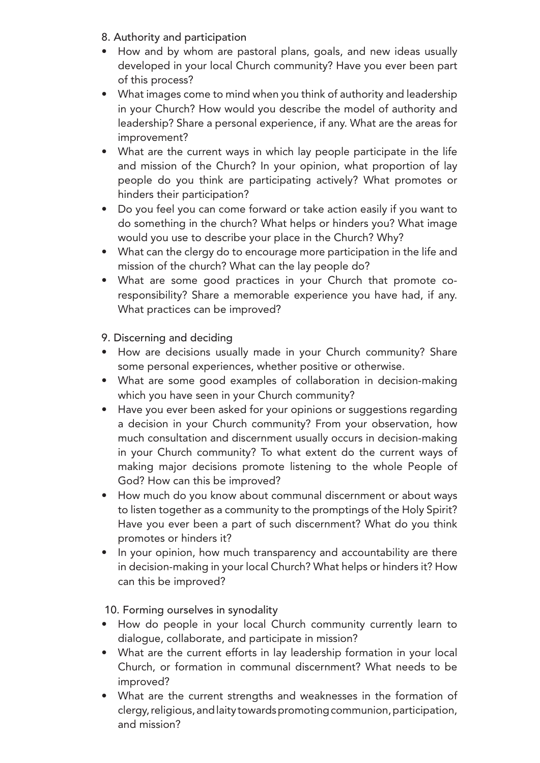- 8. Authority and participation
- How and by whom are pastoral plans, goals, and new ideas usually developed in your local Church community? Have you ever been part of this process?
- What images come to mind when you think of authority and leadership in your Church? How would you describe the model of authority and leadership? Share a personal experience, if any. What are the areas for improvement?
- What are the current ways in which lay people participate in the life and mission of the Church? In your opinion, what proportion of lay people do you think are participating actively? What promotes or hinders their participation?
- Do you feel you can come forward or take action easily if you want to do something in the church? What helps or hinders you? What image would you use to describe your place in the Church? Why?
- What can the clergy do to encourage more participation in the life and mission of the church? What can the lay people do?
- What are some good practices in your Church that promote coresponsibility? Share a memorable experience you have had, if any. What practices can be improved?

## 9. Discerning and deciding

- How are decisions usually made in your Church community? Share some personal experiences, whether positive or otherwise.
- What are some good examples of collaboration in decision-making which you have seen in your Church community?
- Have you ever been asked for your opinions or suggestions regarding a decision in your Church community? From your observation, how much consultation and discernment usually occurs in decision-making in your Church community? To what extent do the current ways of making major decisions promote listening to the whole People of God? How can this be improved?
- How much do you know about communal discernment or about ways to listen together as a community to the promptings of the Holy Spirit? Have you ever been a part of such discernment? What do you think promotes or hinders it?
- In your opinion, how much transparency and accountability are there in decision-making in your local Church? What helps or hinders it? How can this be improved?

10. Forming ourselves in synodality

- How do people in your local Church community currently learn to dialogue, collaborate, and participate in mission?
- What are the current efforts in lay leadership formation in your local Church, or formation in communal discernment? What needs to be improved?
- What are the current strengths and weaknesses in the formation of clergy, religious, and laity towards promoting communion, participation, and mission?